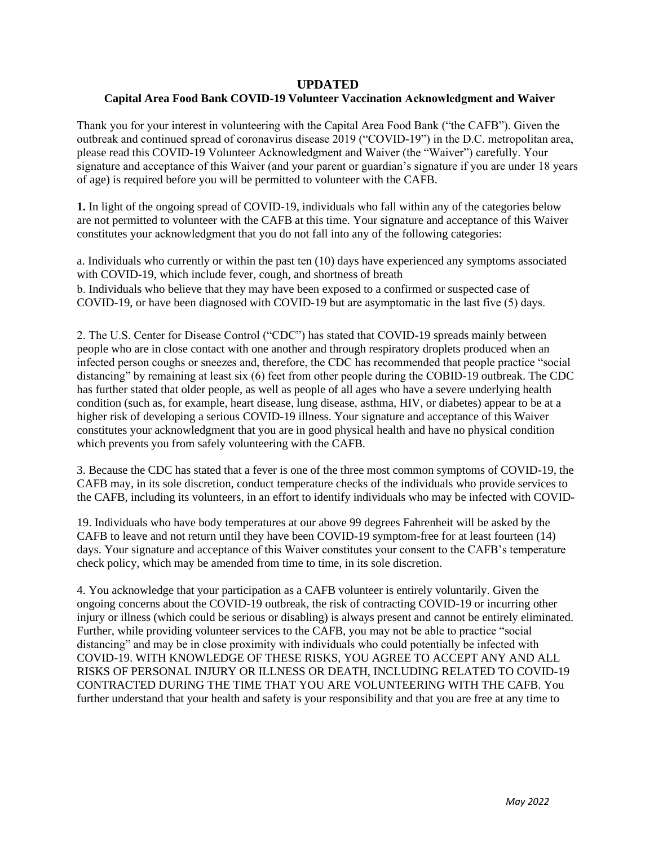## **UPDATED**

## **Capital Area Food Bank COVID-19 Volunteer Vaccination Acknowledgment and Waiver**

Thank you for your interest in volunteering with the Capital Area Food Bank ("the CAFB"). Given the outbreak and continued spread of coronavirus disease 2019 ("COVID-19") in the D.C. metropolitan area, please read this COVID-19 Volunteer Acknowledgment and Waiver (the "Waiver") carefully. Your signature and acceptance of this Waiver (and your parent or guardian's signature if you are under 18 years of age) is required before you will be permitted to volunteer with the CAFB.

**1.** In light of the ongoing spread of COVID-19, individuals who fall within any of the categories below are not permitted to volunteer with the CAFB at this time. Your signature and acceptance of this Waiver constitutes your acknowledgment that you do not fall into any of the following categories:

a. Individuals who currently or within the past ten (10) days have experienced any symptoms associated with COVID-19, which include fever, cough, and shortness of breath b. Individuals who believe that they may have been exposed to a confirmed or suspected case of COVID-19, or have been diagnosed with COVID-19 but are asymptomatic in the last five (5) days.

2. The U.S. Center for Disease Control ("CDC") has stated that COVID-19 spreads mainly between people who are in close contact with one another and through respiratory droplets produced when an infected person coughs or sneezes and, therefore, the CDC has recommended that people practice "social distancing" by remaining at least six (6) feet from other people during the COBID-19 outbreak. The CDC has further stated that older people, as well as people of all ages who have a severe underlying health condition (such as, for example, heart disease, lung disease, asthma, HIV, or diabetes) appear to be at a higher risk of developing a serious COVID-19 illness. Your signature and acceptance of this Waiver constitutes your acknowledgment that you are in good physical health and have no physical condition which prevents you from safely volunteering with the CAFB.

3. Because the CDC has stated that a fever is one of the three most common symptoms of COVID-19, the CAFB may, in its sole discretion, conduct temperature checks of the individuals who provide services to the CAFB, including its volunteers, in an effort to identify individuals who may be infected with COVID-

19. Individuals who have body temperatures at our above 99 degrees Fahrenheit will be asked by the CAFB to leave and not return until they have been COVID-19 symptom-free for at least fourteen (14) days. Your signature and acceptance of this Waiver constitutes your consent to the CAFB's temperature check policy, which may be amended from time to time, in its sole discretion.

4. You acknowledge that your participation as a CAFB volunteer is entirely voluntarily. Given the ongoing concerns about the COVID-19 outbreak, the risk of contracting COVID-19 or incurring other injury or illness (which could be serious or disabling) is always present and cannot be entirely eliminated. Further, while providing volunteer services to the CAFB, you may not be able to practice "social distancing" and may be in close proximity with individuals who could potentially be infected with COVID-19. WITH KNOWLEDGE OF THESE RISKS, YOU AGREE TO ACCEPT ANY AND ALL RISKS OF PERSONAL INJURY OR ILLNESS OR DEATH, INCLUDING RELATED TO COVID-19 CONTRACTED DURING THE TIME THAT YOU ARE VOLUNTEERING WITH THE CAFB. You further understand that your health and safety is your responsibility and that you are free at any time to